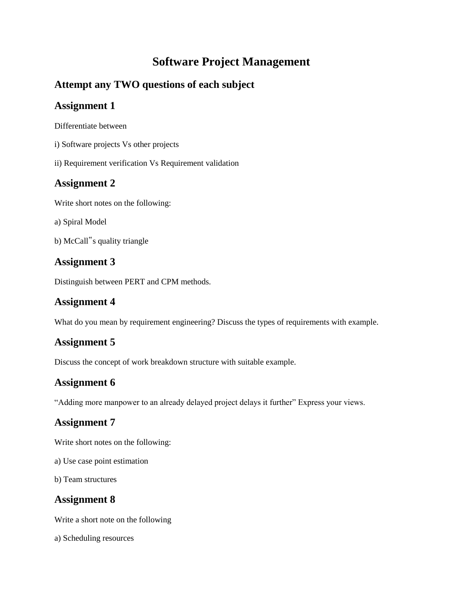# **Software Project Management**

# **Attempt any TWO questions of each subject**

### **Assignment 1**

Differentiate between

- i) Software projects Vs other projects
- ii) Requirement verification Vs Requirement validation

## **Assignment 2**

Write short notes on the following:

- a) Spiral Model
- b) McCall"s quality triangle

## **Assignment 3**

Distinguish between PERT and CPM methods.

### **Assignment 4**

What do you mean by requirement engineering? Discuss the types of requirements with example.

# **Assignment 5**

Discuss the concept of work breakdown structure with suitable example.

### **Assignment 6**

"Adding more manpower to an already delayed project delays it further" Express your views.

### **Assignment 7**

Write short notes on the following:

- a) Use case point estimation
- b) Team structures

#### **Assignment 8**

Write a short note on the following

a) Scheduling resources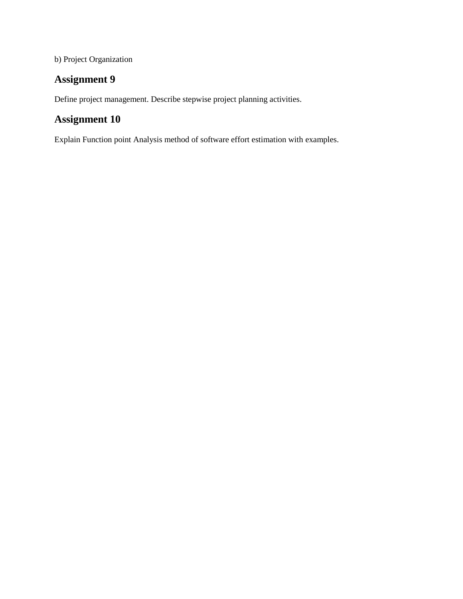b) Project Organization

### **Assignment 9**

Define project management. Describe stepwise project planning activities.

## **Assignment 10**

Explain Function point Analysis method of software effort estimation with examples.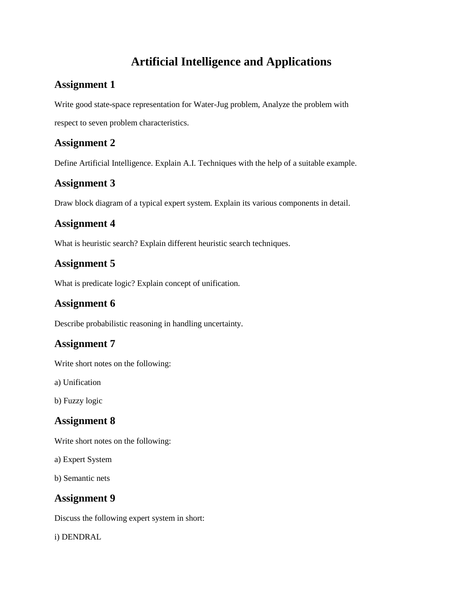# **Artificial Intelligence and Applications**

# **Assignment 1**

Write good state-space representation for Water-Jug problem, Analyze the problem with respect to seven problem characteristics.

# **Assignment 2**

Define Artificial Intelligence. Explain A.I. Techniques with the help of a suitable example.

# **Assignment 3**

Draw block diagram of a typical expert system. Explain its various components in detail.

## **Assignment 4**

What is heuristic search? Explain different heuristic search techniques.

## **Assignment 5**

What is predicate logic? Explain concept of unification.

### **Assignment 6**

Describe probabilistic reasoning in handling uncertainty.

# **Assignment 7**

Write short notes on the following:

a) Unification

b) Fuzzy logic

### **Assignment 8**

Write short notes on the following:

a) Expert System

b) Semantic nets

### **Assignment 9**

Discuss the following expert system in short:

i) DENDRAL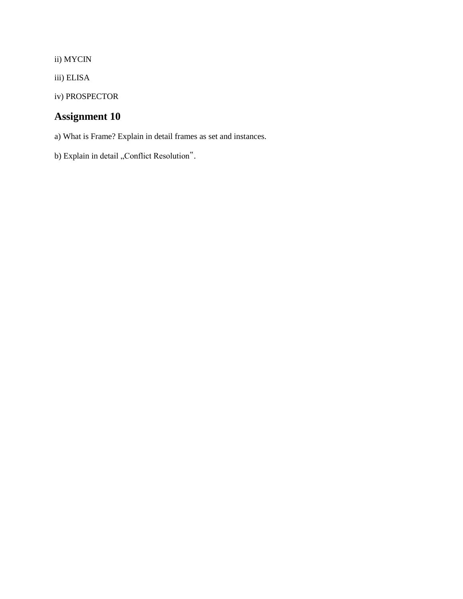ii) MYCIN

iii) ELISA

iv) PROSPECTOR

# **Assignment 10**

a) What is Frame? Explain in detail frames as set and instances.

b) Explain in detail ,,Conflict Resolution".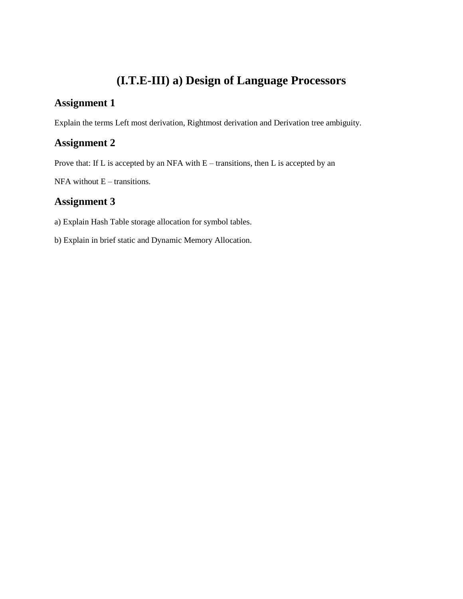# **(I.T.E-III) a) Design of Language Processors**

#### **Assignment 1**

Explain the terms Left most derivation, Rightmost derivation and Derivation tree ambiguity.

### **Assignment 2**

Prove that: If L is accepted by an NFA with  $E$  – transitions, then L is accepted by an

 $NFA$  without  $E -$  transitions.

#### **Assignment 3**

a) Explain Hash Table storage allocation for symbol tables.

b) Explain in brief static and Dynamic Memory Allocation.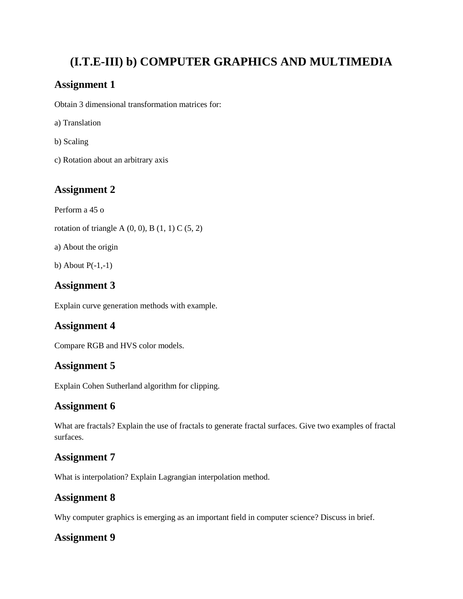# **(I.T.E-III) b) COMPUTER GRAPHICS AND MULTIMEDIA**

# **Assignment 1**

Obtain 3 dimensional transformation matrices for:

- a) Translation
- b) Scaling
- c) Rotation about an arbitrary axis

# **Assignment 2**

- Perform a 45 o
- rotation of triangle A  $(0, 0)$ , B  $(1, 1)$  C  $(5, 2)$
- a) About the origin
- b) About  $P(-1,-1)$

# **Assignment 3**

Explain curve generation methods with example.

### **Assignment 4**

Compare RGB and HVS color models.

### **Assignment 5**

Explain Cohen Sutherland algorithm for clipping.

### **Assignment 6**

What are fractals? Explain the use of fractals to generate fractal surfaces. Give two examples of fractal surfaces.

# **Assignment 7**

What is interpolation? Explain Lagrangian interpolation method.

# **Assignment 8**

Why computer graphics is emerging as an important field in computer science? Discuss in brief.

### **Assignment 9**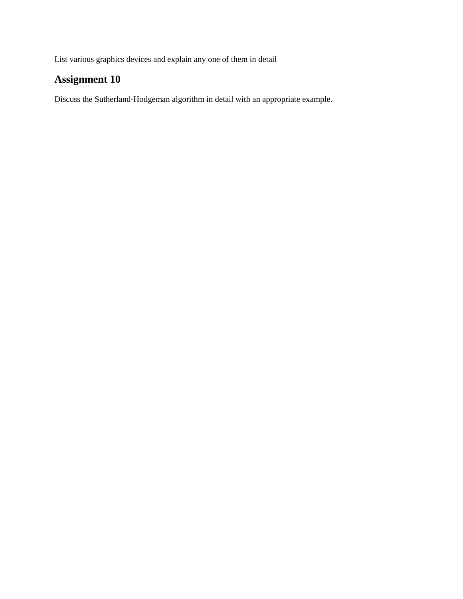List various graphics devices and explain any one of them in detail

# **Assignment 10**

Discuss the Sutherland-Hodgeman algorithm in detail with an appropriate example.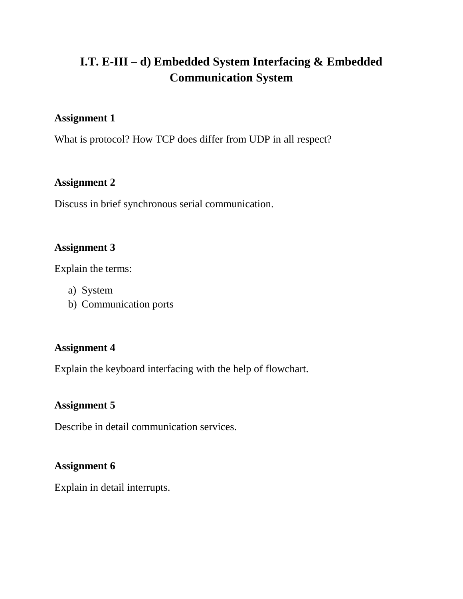# **I.T. E-III – d) Embedded System Interfacing & Embedded Communication System**

# **Assignment 1**

What is protocol? How TCP does differ from UDP in all respect?

## **Assignment 2**

Discuss in brief synchronous serial communication.

# **Assignment 3**

Explain the terms:

- a) System
- b) Communication ports

# **Assignment 4**

Explain the keyboard interfacing with the help of flowchart.

# **Assignment 5**

Describe in detail communication services.

### **Assignment 6**

Explain in detail interrupts.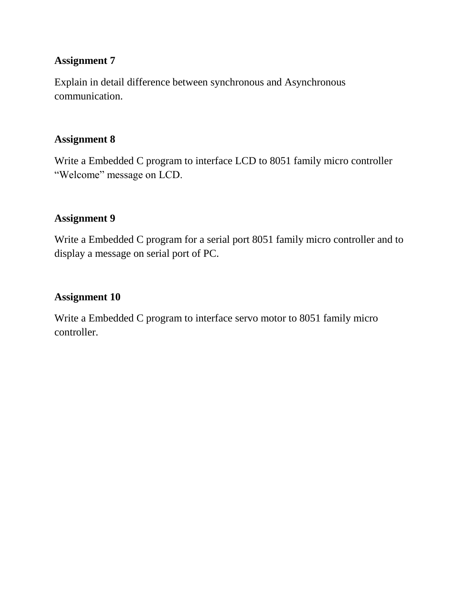Explain in detail difference between synchronous and Asynchronous communication.

## **Assignment 8**

Write a Embedded C program to interface LCD to 8051 family micro controller "Welcome" message on LCD.

## **Assignment 9**

Write a Embedded C program for a serial port 8051 family micro controller and to display a message on serial port of PC.

### **Assignment 10**

Write a Embedded C program to interface servo motor to 8051 family micro controller.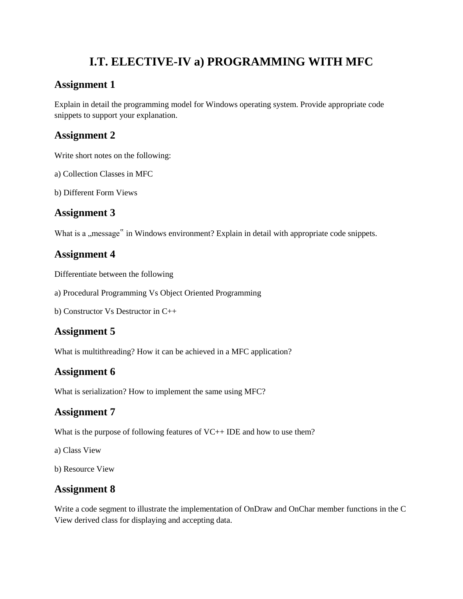# **I.T. ELECTIVE-IV a) PROGRAMMING WITH MFC**

### **Assignment 1**

Explain in detail the programming model for Windows operating system. Provide appropriate code snippets to support your explanation.

#### **Assignment 2**

Write short notes on the following:

a) Collection Classes in MFC

b) Different Form Views

#### **Assignment 3**

What is a "message" in Windows environment? Explain in detail with appropriate code snippets.

#### **Assignment 4**

Differentiate between the following

a) Procedural Programming Vs Object Oriented Programming

b) Constructor Vs Destructor in C++

### **Assignment 5**

What is multithreading? How it can be achieved in a MFC application?

### **Assignment 6**

What is serialization? How to implement the same using MFC?

### **Assignment 7**

What is the purpose of following features of  $VC++ IDE$  and how to use them?

a) Class View

b) Resource View

#### **Assignment 8**

Write a code segment to illustrate the implementation of OnDraw and OnChar member functions in the C View derived class for displaying and accepting data.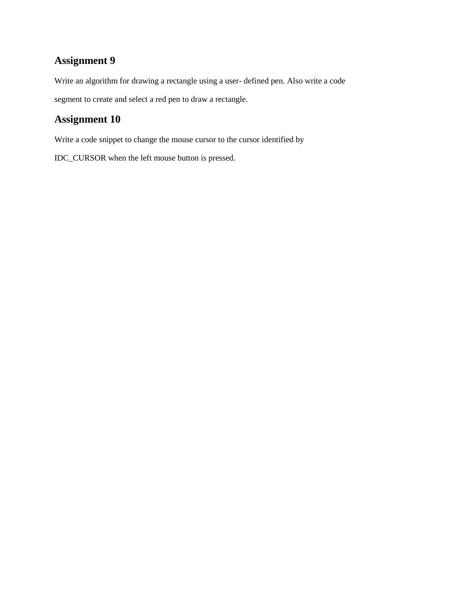Write an algorithm for drawing a rectangle using a user- defined pen. Also write a code segment to create and select a red pen to draw a rectangle.

## **Assignment 10**

Write a code snippet to change the mouse cursor to the cursor identified by

IDC\_CURSOR when the left mouse button is pressed.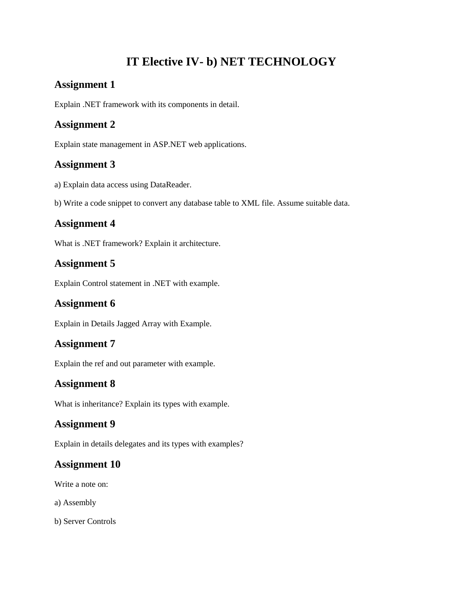# **IT Elective IV- b) NET TECHNOLOGY**

# **Assignment 1**

Explain .NET framework with its components in detail.

## **Assignment 2**

Explain state management in ASP.NET web applications.

#### **Assignment 3**

a) Explain data access using DataReader.

b) Write a code snippet to convert any database table to XML file. Assume suitable data.

#### **Assignment 4**

What is .NET framework? Explain it architecture.

#### **Assignment 5**

Explain Control statement in .NET with example.

### **Assignment 6**

Explain in Details Jagged Array with Example.

### **Assignment 7**

Explain the ref and out parameter with example.

### **Assignment 8**

What is inheritance? Explain its types with example.

#### **Assignment 9**

Explain in details delegates and its types with examples?

#### **Assignment 10**

Write a note on:

a) Assembly

b) Server Controls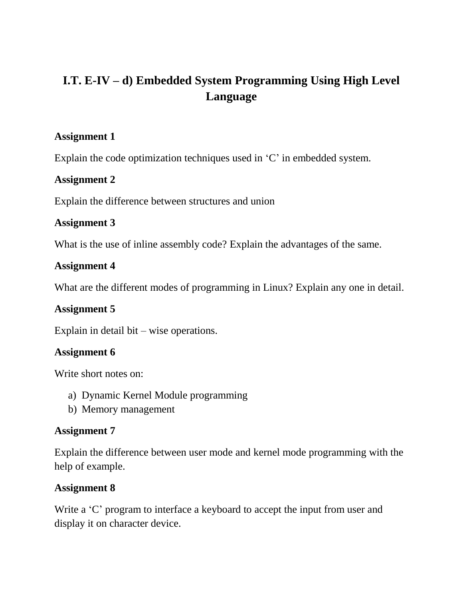# **I.T. E-IV – d) Embedded System Programming Using High Level Language**

# **Assignment 1**

Explain the code optimization techniques used in "C" in embedded system.

# **Assignment 2**

Explain the difference between structures and union

# **Assignment 3**

What is the use of inline assembly code? Explain the advantages of the same.

# **Assignment 4**

What are the different modes of programming in Linux? Explain any one in detail.

# **Assignment 5**

Explain in detail bit – wise operations.

# **Assignment 6**

Write short notes on:

- a) Dynamic Kernel Module programming
- b) Memory management

# **Assignment 7**

Explain the difference between user mode and kernel mode programming with the help of example.

# **Assignment 8**

Write a 'C' program to interface a keyboard to accept the input from user and display it on character device.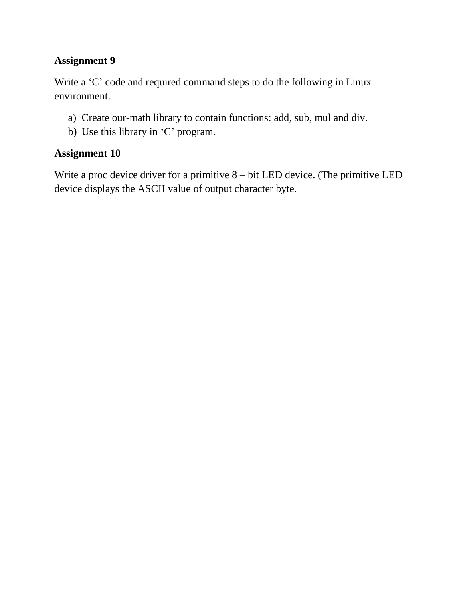Write a 'C' code and required command steps to do the following in Linux environment.

- a) Create our-math library to contain functions: add, sub, mul and div.
- b) Use this library in 'C' program.

# **Assignment 10**

Write a proc device driver for a primitive 8 – bit LED device. (The primitive LED device displays the ASCII value of output character byte.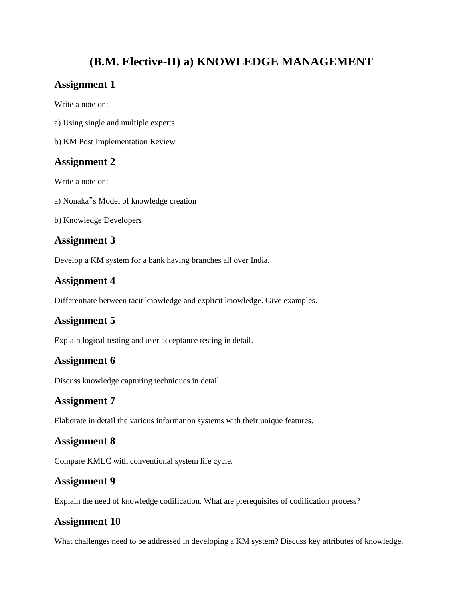# **(B.M. Elective-II) a) KNOWLEDGE MANAGEMENT**

## **Assignment 1**

Write a note on:

- a) Using single and multiple experts
- b) KM Post Implementation Review

# **Assignment 2**

Write a note on:

a) Nonaka"s Model of knowledge creation

b) Knowledge Developers

### **Assignment 3**

Develop a KM system for a bank having branches all over India.

#### **Assignment 4**

Differentiate between tacit knowledge and explicit knowledge. Give examples.

### **Assignment 5**

Explain logical testing and user acceptance testing in detail.

### **Assignment 6**

Discuss knowledge capturing techniques in detail.

### **Assignment 7**

Elaborate in detail the various information systems with their unique features.

#### **Assignment 8**

Compare KMLC with conventional system life cycle.

#### **Assignment 9**

Explain the need of knowledge codification. What are prerequisites of codification process?

# **Assignment 10**

What challenges need to be addressed in developing a KM system? Discuss key attributes of knowledge.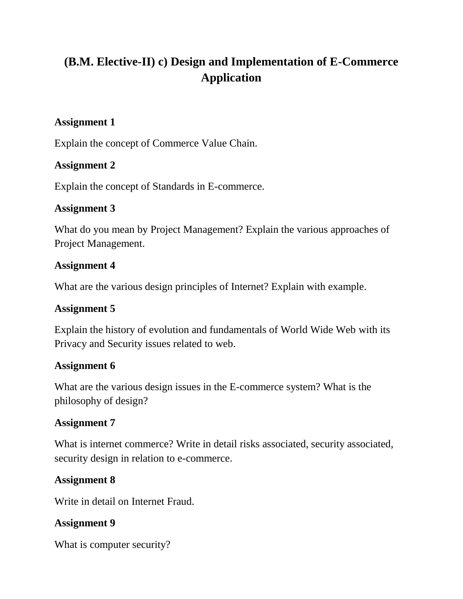# **(B.M. Elective-II) c) Design and Implementation of E-Commerce Application**

# **Assignment 1**

Explain the concept of Commerce Value Chain.

## **Assignment 2**

Explain the concept of Standards in E-commerce.

### **Assignment 3**

What do you mean by Project Management? Explain the various approaches of Project Management.

## **Assignment 4**

What are the various design principles of Internet? Explain with example.

### **Assignment 5**

Explain the history of evolution and fundamentals of World Wide Web with its Privacy and Security issues related to web.

### **Assignment 6**

What are the various design issues in the E-commerce system? What is the philosophy of design?

### **Assignment 7**

What is internet commerce? Write in detail risks associated, security associated, security design in relation to e-commerce.

# **Assignment 8**

Write in detail on Internet Fraud.

# **Assignment 9**

What is computer security?